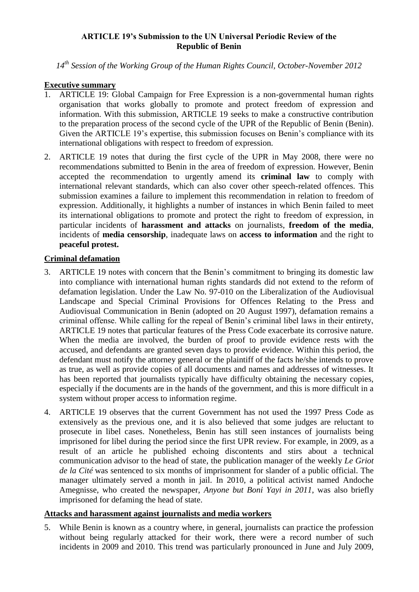### **ARTICLE 19's Submission to the UN Universal Periodic Review of the Republic of Benin**

*14th Session of the Working Group of the Human Rights Council, October-November 2012*

### **Executive summary**

- 1. ARTICLE 19: Global Campaign for Free Expression is a non-governmental human rights organisation that works globally to promote and protect freedom of expression and information. With this submission, ARTICLE 19 seeks to make a constructive contribution to the preparation process of the second cycle of the UPR of the Republic of Benin (Benin). Given the ARTICLE 19's expertise, this submission focuses on Benin's compliance with its international obligations with respect to freedom of expression.
- 2. ARTICLE 19 notes that during the first cycle of the UPR in May 2008, there were no recommendations submitted to Benin in the area of freedom of expression. However, Benin accepted the recommendation to urgently amend its **criminal law** to comply with international relevant standards, which can also cover other speech-related offences. This submission examines a failure to implement this recommendation in relation to freedom of expression. Additionally, it highlights a number of instances in which Benin failed to meet its international obligations to promote and protect the right to freedom of expression, in particular incidents of **harassment and attacks** on journalists, **freedom of the media**, incidents of **media censorship**, inadequate laws on **access to information** and the right to **peaceful protest.**

### **Criminal defamation**

- 3. ARTICLE 19 notes with concern that the Benin's commitment to bringing its domestic law into compliance with international human rights standards did not extend to the reform of defamation legislation. Under the Law No. 97-010 on the Liberalization of the Audiovisual Landscape and Special Criminal Provisions for Offences Relating to the Press and Audiovisual Communication in Benin (adopted on 20 August 1997), defamation remains a criminal offense. While calling for the repeal of Benin's criminal libel laws in their entirety, ARTICLE 19 notes that particular features of the Press Code exacerbate its corrosive nature. When the media are involved, the burden of proof to provide evidence rests with the accused, and defendants are granted seven days to provide evidence. Within this period, the defendant must notify the attorney general or the plaintiff of the facts he/she intends to prove as true, as well as provide copies of all documents and names and addresses of witnesses. It has been reported that journalists typically have difficulty obtaining the necessary copies, especially if the documents are in the hands of the government, and this is more difficult in a system without proper access to information regime.
- 4. ARTICLE 19 observes that the current Government has not used the 1997 Press Code as extensively as the previous one, and it is also believed that some judges are reluctant to prosecute in libel cases. Nonetheless, Benin has still seen instances of journalists being imprisoned for libel during the period since the first UPR review. For example, in 2009, as a result of an article he published echoing discontents and stirs about a technical communication advisor to the head of state, the publication manager of the weekly *Le Griot de la Cité* was sentenced to six months of imprisonment for slander of a public official. The manager ultimately served a month in jail. In 2010, a political activist named Andoche Amegnisse, who created the newspaper, *Anyone but Boni Yayi in 2011*, was also briefly imprisoned for defaming the head of state.

# **Attacks and harassment against journalists and media workers**

5. While Benin is known as a country where, in general, journalists can practice the profession without being regularly attacked for their work, there were a record number of such incidents in 2009 and 2010. This trend was particularly pronounced in June and July 2009,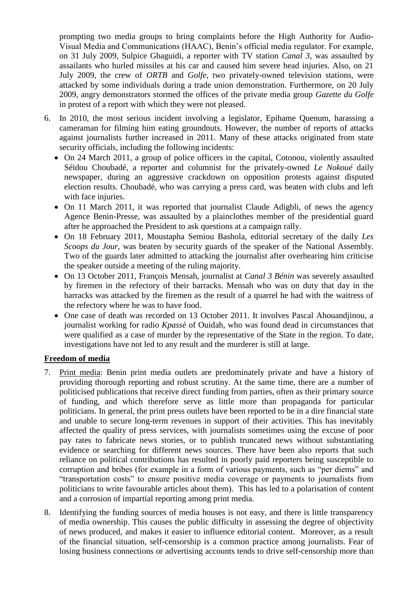prompting two media groups to bring complaints before the High Authority for Audio-Visual Media and Communications (HAAC), Benin's official media regulator. For example, on 31 July 2009, Sulpice Gbaguidi, a reporter with TV station *Canal 3*, was assaulted by assailants who hurled missiles at his car and caused him severe head injuries. Also, on 21 July 2009, the crew of *ORTB* and *Golfe*, two privately-owned television stations, were attacked by some individuals during a trade union demonstration. Furthermore, on 20 July 2009, angry demonstrators stormed the offices of the private media group *Gazette du Golfe* in protest of a report with which they were not pleased.

- 6. In 2010, the most serious incident involving a legislator, Epihame Quenum, harassing a cameraman for filming him eating groundnuts. However, the number of reports of attacks against journalists further increased in 2011. Many of these attacks originated from state security officials, including the following incidents:
	- On 24 March 2011, a group of police officers in the capital, Cotonou, violently assaulted Séïdou Choubadé, a reporter and columnist for the privately-owned *Le Nokoué* daily newspaper, during an aggressive crackdown on opposition protests against disputed election results. Choubadé, who was carrying a press card, was beaten with clubs and left with face injuries.
	- On 11 March 2011, it was reported that journalist Claude Adigbli, of news the agency Agence Benin-Presse, was assaulted by a plainclothes member of the presidential guard after he approached the President to ask questions at a campaign rally.
	- On 18 February 2011, Moustapha Semiou Bashola, editorial secretary of the daily *Les Scoops du Jour*, was beaten by security guards of the speaker of the National Assembly. Two of the guards later admitted to attacking the journalist after overhearing him criticise the speaker outside a meeting of the ruling majority.
	- On 13 October 2011, François Mensah, journalist at *Canal 3 Bénin* was severely assaulted by firemen in the refectory of their barracks. Mensah who was on duty that day in the barracks was attacked by the firemen as the result of a quarrel he had with the waitress of the refectory where he was to have food.
	- One case of death was recorded on 13 October 2011. It involves Pascal Ahouandjinou, a journalist working for radio *Kpassè* of Ouidah, who was found dead in circumstances that were qualified as a case of murder by the representative of the State in the region. To date, investigations have not led to any result and the murderer is still at large.

# **Freedom of media**

- 7. Print media: Benin print media outlets are predominately private and have a history of providing thorough reporting and robust scrutiny. At the same time, there are a number of politicised publications that receive direct funding from parties, often as their primary source of funding, and which therefore serve as little more than propaganda for particular politicians. In general, the print press outlets have been reported to be in a dire financial state and unable to secure long-term revenues in support of their activities. This has inevitably affected the quality of press services, with journalists sometimes using the excuse of poor pay rates to fabricate news stories, or to publish truncated news without substantiating evidence or searching for different news sources. There have been also reports that such reliance on political contributions has resulted in poorly paid reporters being susceptible to corruption and bribes (for example in a form of various payments, such as "per diems" and "transportation costs" to ensure positive media coverage or payments to journalists from politicians to write favourable articles about them). This has led to a polarisation of content and a corrosion of impartial reporting among print media.
- 8. Identifying the funding sources of media houses is not easy, and there is little transparency of media ownership. This causes the public difficulty in assessing the degree of objectivity of news produced, and makes it easier to influence editorial content. Moreover, as a result of the financial situation, self-censorship is a common practice among journalists. Fear of losing business connections or advertising accounts tends to drive self-censorship more than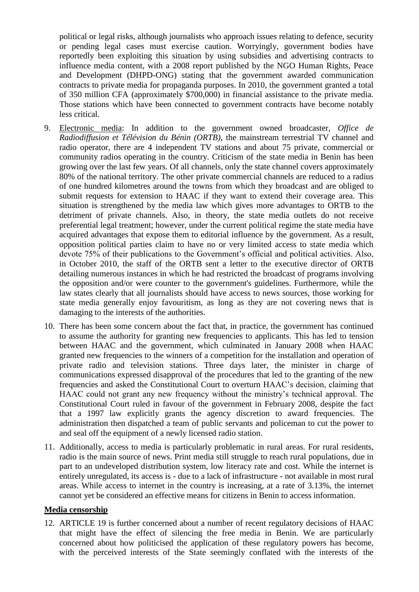political or legal risks, although journalists who approach issues relating to defence, security or pending legal cases must exercise caution. Worryingly, government bodies have reportedly been exploiting this situation by using subsidies and advertising contracts to influence media content, with a 2008 report published by the NGO Human Rights, Peace and Development (DHPD-ONG) stating that the government awarded communication contracts to private media for propaganda purposes. In 2010, the government granted a total of 350 million CFA (approximately \$700,000) in financial assistance to the private media. Those stations which have been connected to government contracts have become notably less critical.

- 9. Electronic media: In addition to the government owned broadcaster*, Office de Radiodiffusion et Télévision du Bénin (ORTB)*, the mainstream terrestrial TV channel and radio operator, there are 4 independent TV stations and about 75 private, commercial or community radios operating in the country. Criticism of the state media in Benin has been growing over the last few years. Of all channels, only the state channel covers approximately 80% of the national territory. The other private commercial channels are reduced to a radius of one hundred kilometres around the towns from which they broadcast and are obliged to submit requests for extension to HAAC if they want to extend their coverage area. This situation is strengthened by the media law which gives more advantages to ORTB to the detriment of private channels. Also, in theory, the state media outlets do not receive preferential legal treatment; however, under the current political regime the state media have acquired advantages that expose them to editorial influence by the government. As a result, opposition political parties claim to have no or very limited access to state media which devote 75% of their publications to the Government's official and political activities. Also, in October 2010, the staff of the ORTB sent a letter to the executive director of ORTB detailing numerous instances in which he had restricted the broadcast of programs involving the opposition and/or were counter to the government's guidelines. Furthermore, while the law states clearly that all journalists should have access to news sources, those working for state media generally enjoy favouritism, as long as they are not covering news that is damaging to the interests of the authorities.
- 10. There has been some concern about the fact that, in practice, the government has continued to assume the authority for granting new frequencies to applicants. This has led to tension between HAAC and the government, which culminated in January 2008 when HAAC granted new frequencies to the winners of a competition for the installation and operation of private radio and television stations. Three days later, the minister in charge of communications expressed disapproval of the procedures that led to the granting of the new frequencies and asked the Constitutional Court to overturn HAAC's decision, claiming that HAAC could not grant any new frequency without the ministry's technical approval. The Constitutional Court ruled in favour of the government in February 2008, despite the fact that a 1997 law explicitly grants the agency discretion to award frequencies. The administration then dispatched a team of public servants and policeman to cut the power to and seal off the equipment of a newly licensed radio station.
- 11. Additionally, access to media is particularly problematic in rural areas. For rural residents, radio is the main source of news. Print media still struggle to reach rural populations, due in part to an undeveloped distribution system, low literacy rate and cost. While the internet is entirely unregulated, its access is - due to a lack of infrastructure - not available in most rural areas. While access to internet in the country is increasing, at a rate of 3.13%, the internet cannot yet be considered an effective means for citizens in Benin to access information.

#### **Media censorship**

12. ARTICLE 19 is further concerned about a number of recent regulatory decisions of HAAC that might have the effect of silencing the free media in Benin. We are particularly concerned about how politicised the application of these regulatory powers has become, with the perceived interests of the State seemingly conflated with the interests of the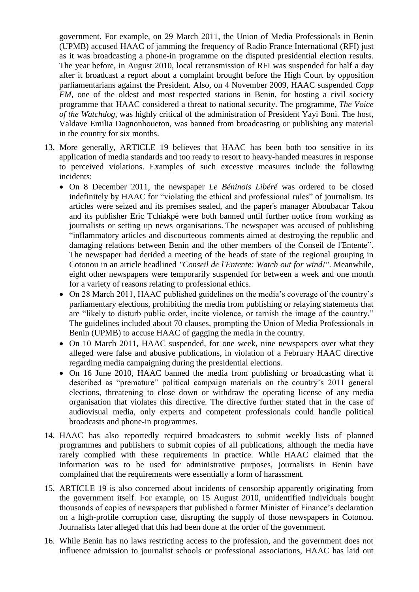government. For example, on 29 March 2011, the Union of Media Professionals in Benin (UPMB) accused HAAC of jamming the frequency of Radio France International (RFI) just as it was broadcasting a phone-in programme on the disputed presidential election results. The year before, in August 2010, local retransmission of RFI was suspended for half a day after it broadcast a report about a complaint brought before the High Court by opposition parliamentarians against the President. Also, on 4 November 2009, HAAC suspended *Capp FM*, one of the oldest and most respected stations in Benin, for hosting a civil society programme that HAAC considered a threat to national security. The programme, *The Voice of the Watchdog*, was highly critical of the administration of President Yayi Boni. The host, Valdave Emilia Dagnonhoueton, was banned from broadcasting or publishing any material in the country for six months.

- 13. More generally, ARTICLE 19 believes that HAAC has been both too sensitive in its application of media standards and too ready to resort to heavy-handed measures in response to perceived violations. Examples of such excessive measures include the following incidents:
	- On 8 December 2011, the newspaper *Le Béninois Libéré* was ordered to be closed indefinitely by HAAC for "violating the ethical and professional rules" of journalism. Its articles were seized and its premises sealed, and the paper's manager Aboubacar Takou and its publisher Eric Tchiakpè were both banned until further notice from working as journalists or setting up news organisations. The newspaper was accused of publishing "inflammatory articles and discourteous comments aimed at destroying the republic and damaging relations between Benin and the other members of the Conseil de l'Entente". The newspaper had derided a meeting of the heads of state of the regional grouping in Cotonou in an article headlined *"Conseil de l'Entente: Watch out for wind!"*. Meanwhile, eight other newspapers were temporarily suspended for between a week and one month for a variety of reasons relating to professional ethics.
	- On 28 March 2011, HAAC published guidelines on the media's coverage of the country's parliamentary elections, prohibiting the media from publishing or relaying statements that are "likely to disturb public order, incite violence, or tarnish the image of the country." The guidelines included about 70 clauses, prompting the Union of Media Professionals in Benin (UPMB) to accuse HAAC of gagging the media in the country.
	- On 10 March 2011, HAAC suspended, for one week, nine newspapers over what they alleged were false and abusive publications, in violation of a February HAAC directive regarding media campaigning during the presidential elections.
	- On 16 June 2010, HAAC banned the media from publishing or broadcasting what it described as "premature" political campaign materials on the country's 2011 general elections, threatening to close down or withdraw the operating license of any media organisation that violates this directive. The directive further stated that in the case of audiovisual media, only experts and competent professionals could handle political broadcasts and phone-in programmes.
- 14. HAAC has also reportedly required broadcasters to submit weekly lists of planned programmes and publishers to submit copies of all publications, although the media have rarely complied with these requirements in practice. While HAAC claimed that the information was to be used for administrative purposes, journalists in Benin have complained that the requirements were essentially a form of harassment.
- 15. ARTICLE 19 is also concerned about incidents of censorship apparently originating from the government itself. For example, on 15 August 2010, unidentified individuals bought thousands of copies of newspapers that published a former Minister of Finance's declaration on a high-profile corruption case, disrupting the supply of those newspapers in Cotonou. Journalists later alleged that this had been done at the order of the government.
- 16. While Benin has no laws restricting access to the profession, and the government does not influence admission to journalist schools or professional associations, HAAC has laid out